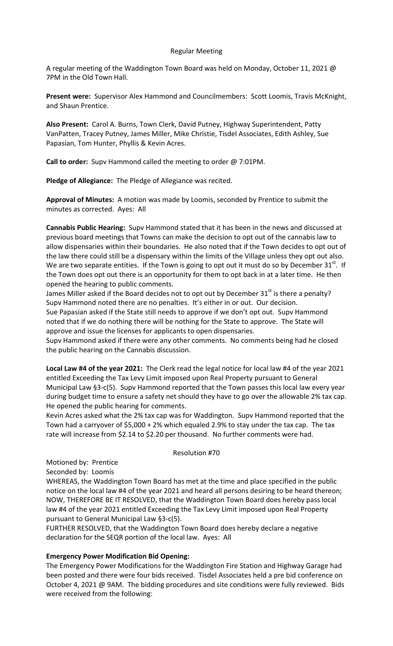## Regular Meeting

A regular meeting of the Waddington Town Board was held on Monday, October 11, 2021 @ 7PM in the Old Town Hall.

**Present were:** Supervisor Alex Hammond and Councilmembers: Scott Loomis, Travis McKnight, and Shaun Prentice.

**Also Present:** Carol A. Burns, Town Clerk, David Putney, Highway Superintendent, Patty VanPatten, Tracey Putney, James Miller, Mike Christie, Tisdel Associates, Edith Ashley, Sue Papasian, Tom Hunter, Phyllis & Kevin Acres.

**Call to order:** Supv Hammond called the meeting to order @ 7:01PM.

**Pledge of Allegiance:** The Pledge of Allegiance was recited.

**Approval of Minutes:** A motion was made by Loomis, seconded by Prentice to submit the minutes as corrected. Ayes: All

**Cannabis Public Hearing:** Supv Hammond stated that it has been in the news and discussed at previous board meetings that Towns can make the decision to opt out of the cannabis law to allow dispensaries within their boundaries. He also noted that if the Town decides to opt out of the law there could still be a dispensary within the limits of the Village unless they opt out also. We are two separate entities. If the Town is going to opt out it must do so by December  $31<sup>st</sup>$ . If the Town does opt out there is an opportunity for them to opt back in at a later time. He then opened the hearing to public comments.

James Miller asked if the Board decides not to opt out by December  $31<sup>st</sup>$  is there a penalty? Supv Hammond noted there are no penalties. It's either in or out. Our decision. Sue Papasian asked if the State still needs to approve if we don't opt out. Supv Hammond noted that if we do nothing there will be nothing for the State to approve. The State will approve and issue the licenses for applicants to open dispensaries.

Supv Hammond asked if there were any other comments. No comments being had he closed the public hearing on the Cannabis discussion.

**Local Law #4 of the year 2021:** The Clerk read the legal notice for local law #4 of the year 2021 entitled Exceeding the Tax Levy Limit imposed upon Real Property pursuant to General Municipal Law §3-c(5). Supv Hammond reported that the Town passes this local law every year during budget time to ensure a safety net should they have to go over the allowable 2% tax cap. He opened the public hearing for comments.

Kevin Acres asked what the 2% tax cap was for Waddington. Supv Hammond reported that the Town had a carryover of \$5,000 + 2% which equaled 2.9% to stay under the tax cap. The tax rate will increase from \$2.14 to \$2.20 per thousand. No further comments were had.

### Resolution #70

Motioned by: Prentice

Seconded by: Loomis

WHEREAS, the Waddington Town Board has met at the time and place specified in the public notice on the local law #4 of the year 2021 and heard all persons desiring to be heard thereon; NOW, THEREFORE BE IT RESOLVED, that the Waddington Town Board does hereby pass local law #4 of the year 2021 entitled Exceeding the Tax Levy Limit imposed upon Real Property pursuant to General Municipal Law §3-c(5).

FURTHER RESOLVED, that the Waddington Town Board does hereby declare a negative declaration for the SEQR portion of the local law. Ayes: All

## **Emergency Power Modification Bid Opening:**

The Emergency Power Modifications for the Waddington Fire Station and Highway Garage had been posted and there were four bids received. Tisdel Associates held a pre bid conference on October 4, 2021 @ 9AM. The bidding procedures and site conditions were fully reviewed. Bids were received from the following: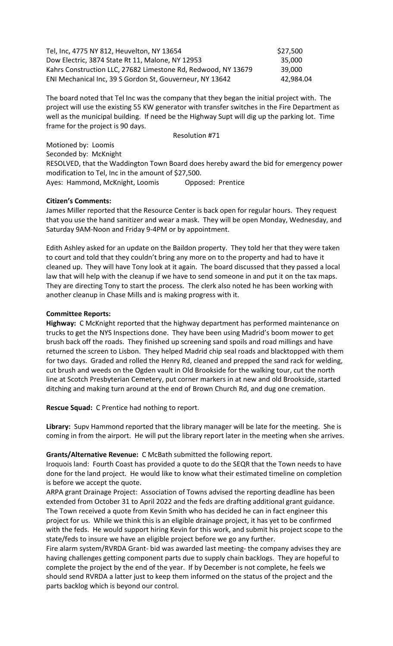| Tel, Inc, 4775 NY 812, Heuvelton, NY 13654                    | \$27,500  |
|---------------------------------------------------------------|-----------|
| Dow Electric, 3874 State Rt 11, Malone, NY 12953              | 35,000    |
| Kahrs Construction LLC, 27682 Limestone Rd, Redwood, NY 13679 | 39.000    |
| ENI Mechanical Inc, 39 S Gordon St, Gouverneur, NY 13642      | 42,984.04 |

The board noted that Tel Inc was the company that they began the initial project with. The project will use the existing 55 KW generator with transfer switches in the Fire Department as well as the municipal building. If need be the Highway Supt will dig up the parking lot. Time frame for the project is 90 days.

Resolution #71

Motioned by: Loomis Seconded by: McKnight RESOLVED, that the Waddington Town Board does hereby award the bid for emergency power modification to Tel, Inc in the amount of \$27,500. Ayes: Hammond, McKnight, Loomis Opposed: Prentice

## **Citizen's Comments:**

James Miller reported that the Resource Center is back open for regular hours. They request that you use the hand sanitizer and wear a mask. They will be open Monday, Wednesday, and Saturday 9AM-Noon and Friday 9-4PM or by appointment.

Edith Ashley asked for an update on the Baildon property. They told her that they were taken to court and told that they couldn't bring any more on to the property and had to have it cleaned up. They will have Tony look at it again. The board discussed that they passed a local law that will help with the cleanup if we have to send someone in and put it on the tax maps. They are directing Tony to start the process. The clerk also noted he has been working with another cleanup in Chase Mills and is making progress with it.

# **Committee Reports:**

**Highway:** C McKnight reported that the highway department has performed maintenance on trucks to get the NYS Inspections done. They have been using Madrid's boom mower to get brush back off the roads. They finished up screening sand spoils and road millings and have returned the screen to Lisbon. They helped Madrid chip seal roads and blacktopped with them for two days. Graded and rolled the Henry Rd, cleaned and prepped the sand rack for welding, cut brush and weeds on the Ogden vault in Old Brookside for the walking tour, cut the north line at Scotch Presbyterian Cemetery, put corner markers in at new and old Brookside, started ditching and making turn around at the end of Brown Church Rd, and dug one cremation.

**Rescue Squad:** C Prentice had nothing to report.

**Library:** Supv Hammond reported that the library manager will be late for the meeting. She is coming in from the airport. He will put the library report later in the meeting when she arrives.

# **Grants/Alternative Revenue:** C McBath submitted the following report.

Iroquois land: Fourth Coast has provided a quote to do the SEQR that the Town needs to have done for the land project. He would like to know what their estimated timeline on completion is before we accept the quote.

ARPA grant Drainage Project: Association of Towns advised the reporting deadline has been extended from October 31 to April 2022 and the feds are drafting additional grant guidance. The Town received a quote from Kevin Smith who has decided he can in fact engineer this project for us. While we think this is an eligible drainage project, it has yet to be confirmed with the feds. He would support hiring Kevin for this work, and submit his project scope to the state/feds to insure we have an eligible project before we go any further.

Fire alarm system/RVRDA Grant- bid was awarded last meeting- the company advises they are having challenges getting component parts due to supply chain backlogs. They are hopeful to complete the project by the end of the year. If by December is not complete, he feels we should send RVRDA a latter just to keep them informed on the status of the project and the parts backlog which is beyond our control.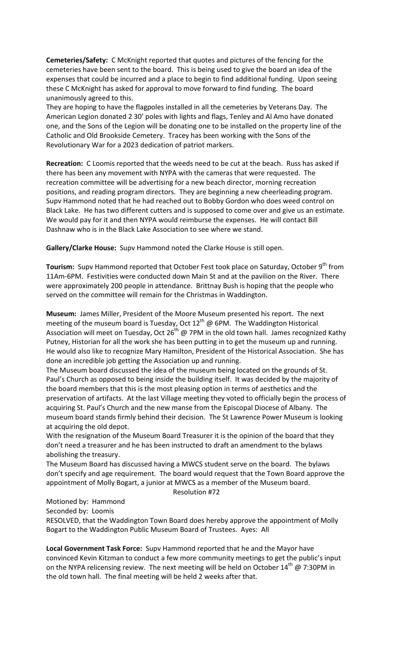**Cemeteries/Safety:** C McKnight reported that quotes and pictures of the fencing for the cemeteries have been sent to the board. This is being used to give the board an idea of the expenses that could be incurred and a place to begin to find additional funding. Upon seeing these C McKnight has asked for approval to move forward to find funding. The board unanimously agreed to this.

They are hoping to have the flagpoles installed in all the cemeteries by Veterans Day. The American Legion donated 2 30' poles with lights and flags, Tenley and Al Amo have donated one, and the Sons of the Legion will be donating one to be installed on the property line of the Catholic and Old Brookside Cemetery. Tracey has been working with the Sons of the Revolutionary War for a 2023 dedication of patriot markers.

**Recreation:** C Loomis reported that the weeds need to be cut at the beach. Russ has asked if there has been any movement with NYPA with the cameras that were requested. The recreation committee will be advertising for a new beach director, morning recreation positions, and reading program directors. They are beginning a new cheerleading program. Supv Hammond noted that he had reached out to Bobby Gordon who does weed control on Black Lake. He has two different cutters and is supposed to come over and give us an estimate. We would pay for it and then NYPA would reimburse the expenses. He will contact Bill Dashnaw who is in the Black Lake Association to see where we stand.

**Gallery/Clarke House:** Supv Hammond noted the Clarke House is still open.

**Tourism:** Supv Hammond reported that October Fest took place on Saturday, October 9<sup>th</sup> from 11Am-6PM. Festivities were conducted down Main St and at the pavilion on the River. There were approximately 200 people in attendance. Brittnay Bush is hoping that the people who served on the committee will remain for the Christmas in Waddington.

**Museum:** James Miller, President of the Moore Museum presented his report. The next meeting of the museum board is Tuesday, Oct  $12^{th}$  @ 6PM. The Waddington Historical Association will meet on Tuesday, Oct 26<sup>th</sup> @ 7PM in the old town hall. James recognized Kathy Putney, Historian for all the work she has been putting in to get the museum up and running. He would also like to recognize Mary Hamilton, President of the Historical Association. She has done an incredible job getting the Association up and running.

The Museum board discussed the idea of the museum being located on the grounds of St. Paul's Church as opposed to being inside the building itself. It was decided by the majority of the board members that this is the most pleasing option in terms of aesthetics and the preservation of artifacts. At the last Village meeting they voted to officially begin the process of acquiring St. Paul's Church and the new manse from the Episcopal Diocese of Albany. The museum board stands firmly behind their decision. The St Lawrence Power Museum is looking at acquiring the old depot.

With the resignation of the Museum Board Treasurer it is the opinion of the board that they don't need a treasurer and he has been instructed to draft an amendment to the bylaws abolishing the treasury.

The Museum Board has discussed having a MWCS student serve on the board. The bylaws don't specify and age requirement. The board would request that the Town Board approve the appointment of Molly Bogart, a junior at MWCS as a member of the Museum board. Resolution #72

Motioned by: Hammond

Seconded by: Loomis

RESOLVED, that the Waddington Town Board does hereby approve the appointment of Molly Bogart to the Waddington Public Museum Board of Trustees. Ayes: All

**Local Government Task Force:** Supv Hammond reported that he and the Mayor have convinced Kevin Kitzman to conduct a few more community meetings to get the public's input on the NYPA relicensing review. The next meeting will be held on October  $14^{th}$  @ 7:30PM in the old town hall. The final meeting will be held 2 weeks after that.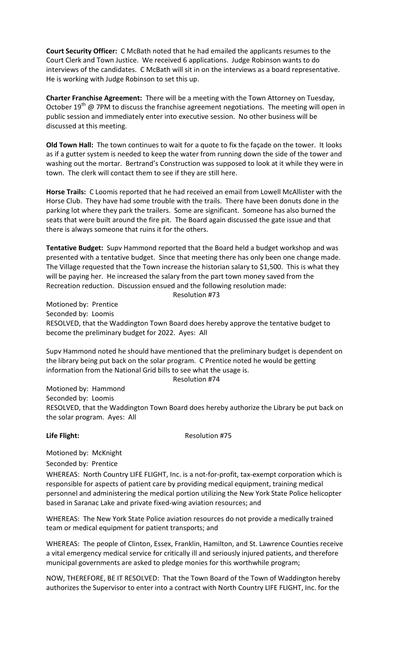**Court Security Officer:** C McBath noted that he had emailed the applicants resumes to the Court Clerk and Town Justice. We received 6 applications. Judge Robinson wants to do interviews of the candidates. C McBath will sit in on the interviews as a board representative. He is working with Judge Robinson to set this up.

**Charter Franchise Agreement:** There will be a meeting with the Town Attorney on Tuesday, October  $19^{th}$  @ 7PM to discuss the franchise agreement negotiations. The meeting will open in public session and immediately enter into executive session. No other business will be discussed at this meeting.

**Old Town Hall:** The town continues to wait for a quote to fix the façade on the tower. It looks as if a gutter system is needed to keep the water from running down the side of the tower and washing out the mortar. Bertrand's Construction was supposed to look at it while they were in town. The clerk will contact them to see if they are still here.

**Horse Trails:** C Loomis reported that he had received an email from Lowell McAllister with the Horse Club. They have had some trouble with the trails. There have been donuts done in the parking lot where they park the trailers. Some are significant. Someone has also burned the seats that were built around the fire pit. The Board again discussed the gate issue and that there is always someone that ruins it for the others.

**Tentative Budget:** Supv Hammond reported that the Board held a budget workshop and was presented with a tentative budget. Since that meeting there has only been one change made. The Village requested that the Town increase the historian salary to \$1,500. This is what they will be paying her. He increased the salary from the part town money saved from the Recreation reduction. Discussion ensued and the following resolution made:

Resolution #73

Motioned by: Prentice Seconded by: Loomis RESOLVED, that the Waddington Town Board does hereby approve the tentative budget to become the preliminary budget for 2022. Ayes: All

Supv Hammond noted he should have mentioned that the preliminary budget is dependent on the library being put back on the solar program. C Prentice noted he would be getting information from the National Grid bills to see what the usage is.

### Resolution #74

Motioned by: Hammond Seconded by: Loomis RESOLVED, that the Waddington Town Board does hereby authorize the Library be put back on the solar program. Ayes: All

Life Flight: **All Accords Resolution #75** 

Motioned by: McKnight

Seconded by: Prentice

WHEREAS: North Country LIFE FLIGHT, Inc. is a not-for-profit, tax-exempt corporation which is responsible for aspects of patient care by providing medical equipment, training medical personnel and administering the medical portion utilizing the New York State Police helicopter based in Saranac Lake and private fixed-wing aviation resources; and

WHEREAS: The New York State Police aviation resources do not provide a medically trained team or medical equipment for patient transports; and

WHEREAS: The people of Clinton, Essex, Franklin, Hamilton, and St. Lawrence Counties receive a vital emergency medical service for critically ill and seriously injured patients, and therefore municipal governments are asked to pledge monies for this worthwhile program;

NOW, THEREFORE, BE IT RESOLVED: That the Town Board of the Town of Waddington hereby authorizes the Supervisor to enter into a contract with North Country LIFE FLIGHT, Inc. for the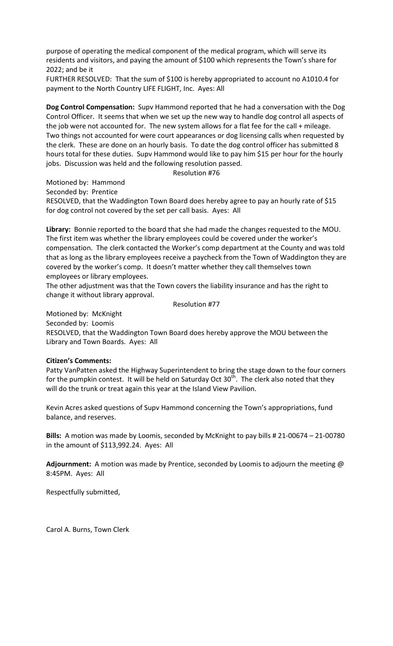purpose of operating the medical component of the medical program, which will serve its residents and visitors, and paying the amount of \$100 which represents the Town's share for 2022; and be it

FURTHER RESOLVED: That the sum of \$100 is hereby appropriated to account no A1010.4 for payment to the North Country LIFE FLIGHT, Inc. Ayes: All

**Dog Control Compensation:** Supv Hammond reported that he had a conversation with the Dog Control Officer. It seems that when we set up the new way to handle dog control all aspects of the job were not accounted for. The new system allows for a flat fee for the call + mileage. Two things not accounted for were court appearances or dog licensing calls when requested by the clerk. These are done on an hourly basis. To date the dog control officer has submitted 8 hours total for these duties. Supv Hammond would like to pay him \$15 per hour for the hourly jobs. Discussion was held and the following resolution passed.

Resolution #76

Motioned by: Hammond

Seconded by: Prentice

RESOLVED, that the Waddington Town Board does hereby agree to pay an hourly rate of \$15 for dog control not covered by the set per call basis. Ayes: All

**Library:** Bonnie reported to the board that she had made the changes requested to the MOU. The first item was whether the library employees could be covered under the worker's compensation. The clerk contacted the Worker's comp department at the County and was told that as long as the library employees receive a paycheck from the Town of Waddington they are covered by the worker's comp. It doesn't matter whether they call themselves town employees or library employees.

The other adjustment was that the Town covers the liability insurance and has the right to change it without library approval.

Resolution #77

Motioned by: McKnight Seconded by: Loomis RESOLVED, that the Waddington Town Board does hereby approve the MOU between the Library and Town Boards. Ayes: All

## **Citizen's Comments:**

Patty VanPatten asked the Highway Superintendent to bring the stage down to the four corners for the pumpkin contest. It will be held on Saturday Oct 30<sup>th</sup>. The clerk also noted that they will do the trunk or treat again this year at the Island View Pavilion.

Kevin Acres asked questions of Supv Hammond concerning the Town's appropriations, fund balance, and reserves.

**Bills:** A motion was made by Loomis, seconded by McKnight to pay bills # 21-00674 – 21-00780 in the amount of \$113,992.24. Ayes: All

**Adjournment:** A motion was made by Prentice, seconded by Loomis to adjourn the meeting @ 8:45PM. Ayes: All

Respectfully submitted,

Carol A. Burns, Town Clerk